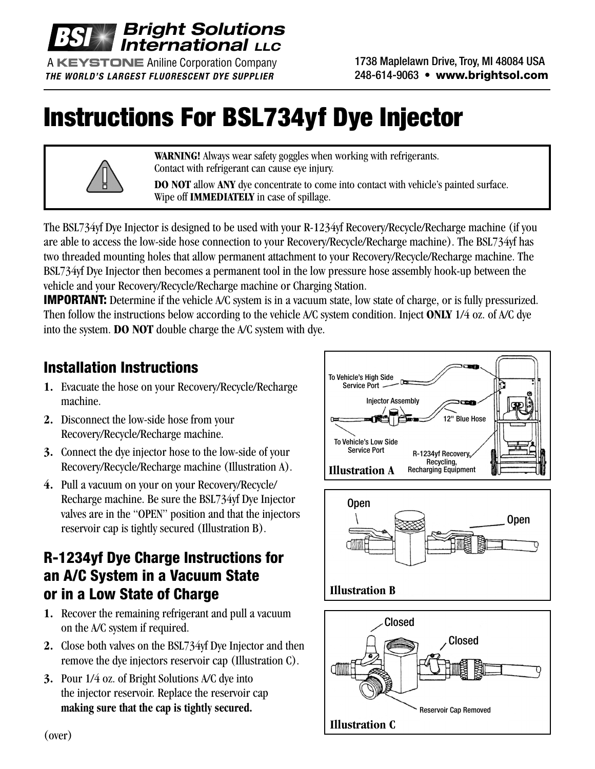

A **KEYSTONE** Aniline Corporation Company *THE WORLD'S LARGEST FLUORESCENT DYE SUPPLIER*

1738 Maplelawn Drive, Troy, MI 48084 USA 248-614-9063 • **www.brightsol.com**

## **Instructions For BSL734yf Dye Injector**



**WARNING!** Always wear safety goggles when working with refrigerants. Contact with refrigerant can cause eye injury.

**DO NOT** allow **ANY** dye concentrate to come into contact with vehicle's painted surface. Wipe off **IMMEDIATELY** in case of spillage.

The BSL734yf Dye Injector is designed to be used with your R-1234yf Recovery/Recycle/Recharge machine (if you are able to access the low-side hose connection to your Recovery/Recycle/Recharge machine). The BSL734yf has two threaded mounting holes that allow permanent attachment to your Recovery/Recycle/Recharge machine. The BSL734yf Dye Injector then becomes a permanent tool in the low pressure hose assembly hook-up between the vehicle and your Recovery/Recycle/Recharge machine or Charging Station.

**IMPORTANT:** Determine if the vehicle A/C system is in a vacuum state, low state of charge, or is fully pressurized. Then follow the instructions below according to the vehicle A/C system condition. Inject **ONLY** 1/4 oz. of A/C dye into the system. **DO NOT** double charge the A/C system with dye.

## **Installation Instructions**

- **1.** Evacuate the hose on your Recovery/Recycle/Recharge machine.
- **2.** Disconnect the low-side hose from your Recovery/Recycle/Recharge machine.
- **3.** Connect the dye injector hose to the low-side of your Recovery/Recycle/Recharge machine (Illustration A).
- **4.** Pull a vacuum on your on your Recovery/Recycle/ Recharge machine. Be sure the BSL734yf Dye Injector valves are in the "OPEN" position and that the injectors reservoir cap is tightly secured (Illustration B).

## **R-1234yf Dye Charge Instructions for an A/C System in a Vacuum State or in a Low State of Charge**

- **1.** Recover the remaining refrigerant and pull a vacuum on the A/C system if required.
- **2.** Close both valves on the BSL734yf Dye Injector and then remove the dye injectors reservoir cap (Illustration C).
- **3.** Pour 1/4 oz. of Bright Solutions A/C dye into the injector reservoir. Replace the reservoir cap **making sure that the cap is tightly secured.**







(over)